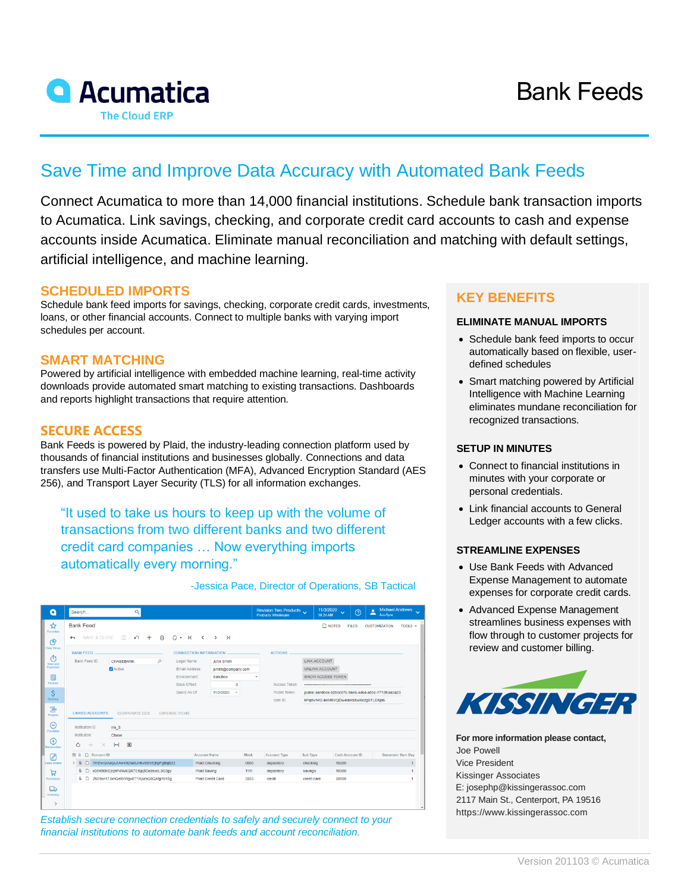

# **A** Acumatica **The Cloud ERP**

# Save Time and Improve Data Accuracy with Automated Bank Feeds

Connect Acumatica to more than 14,000 financial institutions. Schedule bank transaction imports to Acumatica. Link savings, checking, and corporate credit card accounts to cash and expense accounts inside Acumatica. Eliminate manual reconciliation and matching with default settings, artificial intelligence, and machine learning.

#### **SCHEDULED IMPORTS**

Schedule bank feed imports for savings, checking, corporate credit cards, investments, loans, or other financial accounts. Connect to multiple banks with varying import schedules per account.

#### **SMART MATCHING**

Powered by artificial intelligence with embedded machine learning, real-time activity downloads provide automated smart matching to existing transactions. Dashboards and reports highlight transactions that require attention.

#### **SECURE ACCESS**

Bank Feeds is powered by Plaid, the industry-leading connection platform used by thousands of financial institutions and businesses globally. Connections and data transfers use Multi-Factor Authentication (MFA), Advanced Encryption Standard (AES 256), and Transport Layer Security (TLS) for all information exchanges.

"It used to take us hours to keep up with the volume of transactions from two different banks and two different credit card companies … Now everything imports automatically every morning."

-Jessica Pace, Director of Operations, SB Tactical

| Q                         | Search                                                                                                                                                                                                               | $\alpha$                   |                                  |                     |      | Revision Two Products<br>Products Wholesale | 11/3/2020<br>10:24 AM                                                                        | $\odot$<br>$\ddotmark$ | <b>Michael Andrews</b><br>ዹ<br>AcuSync |  |
|---------------------------|----------------------------------------------------------------------------------------------------------------------------------------------------------------------------------------------------------------------|----------------------------|----------------------------------|---------------------|------|---------------------------------------------|----------------------------------------------------------------------------------------------|------------------------|----------------------------------------|--|
| ☆<br>Favorites<br>ဇ       | <b>Bank Feed</b><br><b>NOTES</b><br><b>FILES</b><br><b>CUSTOMIZATION</b><br>$TOOLS$ $\star$<br>日<br>自<br>Ô<br>SAVE & CLOSE<br>$\Omega$<br>$\sim$ K<br>$\lambda$<br>$^{+}$<br>$\sim$<br>$\rightarrow$<br>$\leftarrow$ |                            |                                  |                     |      |                                             |                                                                                              |                        |                                        |  |
| Data Views                | <b>BANK FEED</b>                                                                                                                                                                                                     |                            | <b>CONNECTION INFORMATION</b>    |                     |      | <b>ACTIONS</b>                              |                                                                                              |                        |                                        |  |
| Õ                         | Bank Feed ID:<br>$\circ$<br>CHASEBANK<br>Active                                                                                                                                                                      |                            | Legal Name:<br><b>John Smith</b> |                     |      |                                             | LINK ACCOUNT<br>UNLINK ACCOUNT                                                               |                        |                                        |  |
| Time and<br>Expenses      |                                                                                                                                                                                                                      |                            | Email Address:                   | jsmith@company.com  |      |                                             |                                                                                              |                        |                                        |  |
| $\square$                 |                                                                                                                                                                                                                      |                            | <b>Environment:</b>              | Sandbox             |      | SHOW ACCESS TOKEN                           |                                                                                              |                        |                                        |  |
| Finance                   |                                                                                                                                                                                                                      |                            | Days Offset:                     | $\mathbf{3}$        |      | Access Token:                               |                                                                                              |                        |                                        |  |
| Ŝ<br>Banking              |                                                                                                                                                                                                                      |                            | Query As Of:                     | 11/2/2020<br>$\;$   |      | Public Token:<br>Item ID:                   | public-sandbox-b2b0c876-9ae6-4464-a55c-7713fcaa3423<br>kPodVNKE4eIM8VQDw4laIkbXwKezoBTLEKia6 |                        |                                        |  |
| Projects<br>Θ<br>Payables | <b>LINKED ACCOUNTS</b><br><b>CORPORATE CCS</b><br><b>EXPENSE ITEMS</b><br>Institution ID:<br>$ins_3$<br>Institution:<br>Chase                                                                                        |                            |                                  |                     |      |                                             |                                                                                              |                        |                                        |  |
| ⊕<br>Receivables          | Ò<br>$\div$<br>$\times$                                                                                                                                                                                              | $ \mathbf{x} $<br>$\vdash$ |                                  |                     |      |                                             |                                                                                              |                        |                                        |  |
| ⊘                         | 图8<br>D Account ID                                                                                                                                                                                                   |                            | <b>Account Name</b>              |                     | Mask | <b>Account Type</b>                         | Sub Type                                                                                     | <b>Cash Account ID</b> | <b>Statement Start Day</b>             |  |
| Sales Orders              | > 0<br>D 7mEwGnMqeJtAwK9zbe6JHkv8BREjEpFgBqBZz                                                                                                                                                                       |                            |                                  | Plaid Checking      | 0000 | depository                                  | checking                                                                                     | 10200                  |                                        |  |
| ਸ਼                        | <b>BD</b><br>e35K9BkEzghP4Nv6QX7Et6jg5DezeacL3G3gy                                                                                                                                                                   |                            |                                  | <b>Plaid Saving</b> | 1111 | depository                                  | savings                                                                                      | 10300                  |                                        |  |
| Purchases                 | <b>&amp; D</b><br>Z659on17JxhQel9rWgxBT1XpzbQ8QAfg1B13g                                                                                                                                                              |                            |                                  | Plaid Credit Card   | 3333 | credit                                      | credit card                                                                                  | 20500                  | $\overline{1}$                         |  |
| ھا<br>Inventory           |                                                                                                                                                                                                                      |                            |                                  |                     |      |                                             |                                                                                              |                        |                                        |  |
|                           |                                                                                                                                                                                                                      |                            |                                  |                     |      |                                             |                                                                                              |                        |                                        |  |

*Establish secure connection credentials to safely and securely connect to your financial institutions to automate bank feeds and account reconciliation.*

### **KEY BENEFITS**

#### **ELIMINATE MANUAL IMPORTS**

- Schedule bank feed imports to occur automatically based on flexible, userdefined schedules
- Smart matching powered by Artificial Intelligence with Machine Learning eliminates mundane reconciliation for recognized transactions.

#### **SETUP IN MINUTES**

- Connect to financial institutions in minutes with your corporate or personal credentials.
- Link financial accounts to General Ledger accounts with a few clicks.

#### **STREAMLINE EXPENSES**

- Use Bank Feeds with Advanced Expense Management to automate expenses for corporate credit cards.
- Advanced Expense Management streamlines business expenses with flow through to customer projects for review and customer billing.



**For more information please contact,** Joe Powell Vice President Kissinger Associates [E: josephp@kissingerassoc.com](mailto:josephp@kissingerassoc.com) 2117 Main St., Centerport, PA 19516 [https://www.kissingerassoc.com](https://www.kissingerassoc.com/)